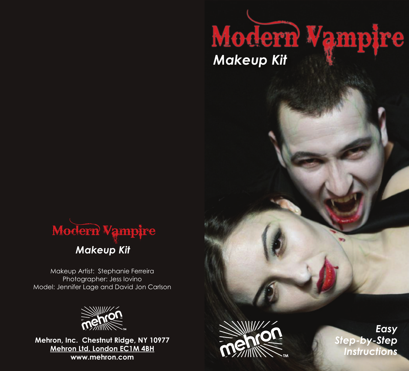

Makeup Artist: Stephanie Ferreira Photographer: Jess Iovino Model: Jennifer Lage and David Jon Carlson



**Mehron, Inc. Chestnut Ridge, NY 10977 Mehron Ltd. London EC1M 4BH www.mehron.com**



*Makeup Kit*

Modern Vampire

*Easy Step-by-Step Instructions*